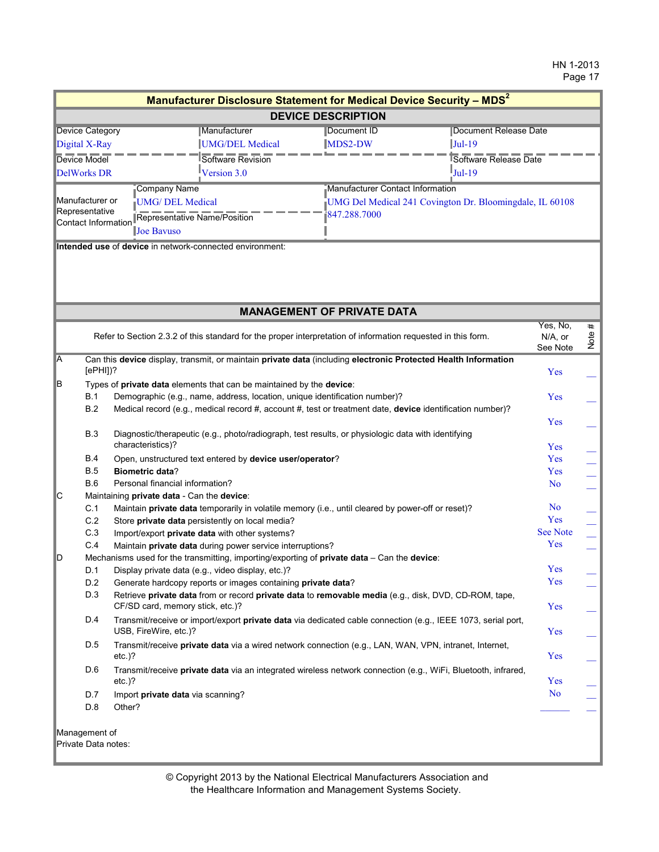|                                      |                            |                                                                            |                     | Manufacturer Disclosure Statement for Medical Device Security - MDS <sup>2</sup>                               |                                 |           |
|--------------------------------------|----------------------------|----------------------------------------------------------------------------|---------------------|----------------------------------------------------------------------------------------------------------------|---------------------------------|-----------|
|                                      |                            |                                                                            |                     | <b>DEVICE DESCRIPTION</b>                                                                                      |                                 |           |
| <b>Device Category</b>               |                            | Manufacturer                                                               |                     | Document Release Date<br>Document ID                                                                           |                                 |           |
| UMG/DEL Medical<br>Digital X-Ray     |                            |                                                                            | MDS2-DW<br>$Jul-19$ |                                                                                                                |                                 |           |
|                                      | Device Model               |                                                                            | Software Revision   | Software Release Date                                                                                          |                                 |           |
|                                      | Version 3.0<br>DelWorks DR |                                                                            |                     | $Jul-19$                                                                                                       |                                 |           |
|                                      |                            | Company Name                                                               |                     | Manufacturer Contact Information                                                                               |                                 |           |
| Manufacturer or                      |                            | <b>UMG/ DEL Medical</b>                                                    |                     | UMG Del Medical 241 Covington Dr. Bloomingdale, IL 60108                                                       |                                 |           |
| Representative                       |                            | Representative Name/Position                                               |                     | 847.288.7000                                                                                                   |                                 |           |
| <b>Contact Information</b>           |                            | Joe Bavuso                                                                 |                     |                                                                                                                |                                 |           |
|                                      |                            | Intended use of device in network-connected environment:                   |                     |                                                                                                                |                                 |           |
|                                      |                            |                                                                            |                     |                                                                                                                |                                 |           |
|                                      |                            |                                                                            |                     |                                                                                                                |                                 |           |
|                                      |                            |                                                                            |                     | <b>MANAGEMENT OF PRIVATE DATA</b>                                                                              |                                 |           |
|                                      |                            |                                                                            |                     | Refer to Section 2.3.2 of this standard for the proper interpretation of information requested in this form.   | Yes, No.<br>N/A, or<br>See Note | #<br>Note |
| A                                    |                            |                                                                            |                     | Can this device display, transmit, or maintain private data (including electronic Protected Health Information |                                 |           |
|                                      | $[ePH]]$ ?                 |                                                                            |                     |                                                                                                                | Yes                             |           |
| B                                    |                            | Types of private data elements that can be maintained by the device:       |                     |                                                                                                                |                                 |           |
|                                      | B.1                        | Demographic (e.g., name, address, location, unique identification number)? |                     |                                                                                                                | Yes                             |           |
|                                      | <b>B.2</b>                 |                                                                            |                     | Medical record (e.g., medical record #, account #, test or treatment date, device identification number)?      |                                 |           |
|                                      |                            |                                                                            |                     |                                                                                                                | Yes                             |           |
|                                      | <b>B.3</b>                 |                                                                            |                     | Diagnostic/therapeutic (e.g., photo/radiograph, test results, or physiologic data with identifying             |                                 |           |
|                                      |                            | characteristics)?                                                          |                     |                                                                                                                | Yes                             |           |
|                                      | <b>B.4</b>                 | Open, unstructured text entered by device user/operator?                   |                     |                                                                                                                | Yes                             |           |
|                                      | <b>B.5</b>                 | <b>Biometric data?</b>                                                     |                     |                                                                                                                | Yes                             |           |
|                                      | <b>B.6</b>                 | Personal financial information?                                            |                     |                                                                                                                | N <sub>o</sub>                  |           |
| <b>C</b>                             |                            | Maintaining private data - Can the device:                                 |                     |                                                                                                                |                                 |           |
|                                      | C.1                        |                                                                            |                     | Maintain private data temporarily in volatile memory (i.e., until cleared by power-off or reset)?              | No<br>Yes                       |           |
|                                      | C.2                        | Store private data persistently on local media?                            |                     |                                                                                                                | <b>See Note</b>                 |           |
|                                      | C.3                        | Import/export private data with other systems?                             |                     |                                                                                                                |                                 |           |
|                                      | C.4                        | Maintain private data during power service interruptions?                  |                     |                                                                                                                | Yes                             |           |
| D                                    |                            |                                                                            |                     | Mechanisms used for the transmitting, importing/exporting of private data - Can the device:                    |                                 |           |
|                                      | D.1                        | Display private data (e.g., video display, etc.)?                          |                     |                                                                                                                | Yes<br>Yes                      |           |
|                                      | D.2                        | Generate hardcopy reports or images containing private data?               |                     |                                                                                                                |                                 |           |
|                                      | D.3                        |                                                                            |                     | Retrieve private data from or record private data to removable media (e.g., disk, DVD, CD-ROM, tape,           | Yes                             |           |
|                                      |                            | CF/SD card, memory stick, etc.)?                                           |                     |                                                                                                                |                                 |           |
|                                      | D.4                        | USB, FireWire, etc.)?                                                      |                     | Transmit/receive or import/export private data via dedicated cable connection (e.g., IEEE 1073, serial port,   | Yes                             |           |
|                                      |                            |                                                                            |                     |                                                                                                                |                                 |           |
|                                      | D.5                        | $etc.$ )?                                                                  |                     | Transmit/receive private data via a wired network connection (e.g., LAN, WAN, VPN, intranet, Internet,         | Yes                             |           |
|                                      | D.6                        |                                                                            |                     |                                                                                                                |                                 |           |
|                                      |                            | $etc.$ )?                                                                  |                     | Transmit/receive private data via an integrated wireless network connection (e.g., WiFi, Bluetooth, infrared,  | Yes                             |           |
|                                      | D.7                        | Import private data via scanning?                                          |                     |                                                                                                                | No                              |           |
|                                      | D.8                        | Other?                                                                     |                     |                                                                                                                |                                 |           |
|                                      |                            |                                                                            |                     |                                                                                                                |                                 |           |
|                                      |                            |                                                                            |                     |                                                                                                                |                                 |           |
| Management of<br>Private Data notes: |                            |                                                                            |                     |                                                                                                                |                                 |           |
|                                      |                            |                                                                            |                     |                                                                                                                |                                 |           |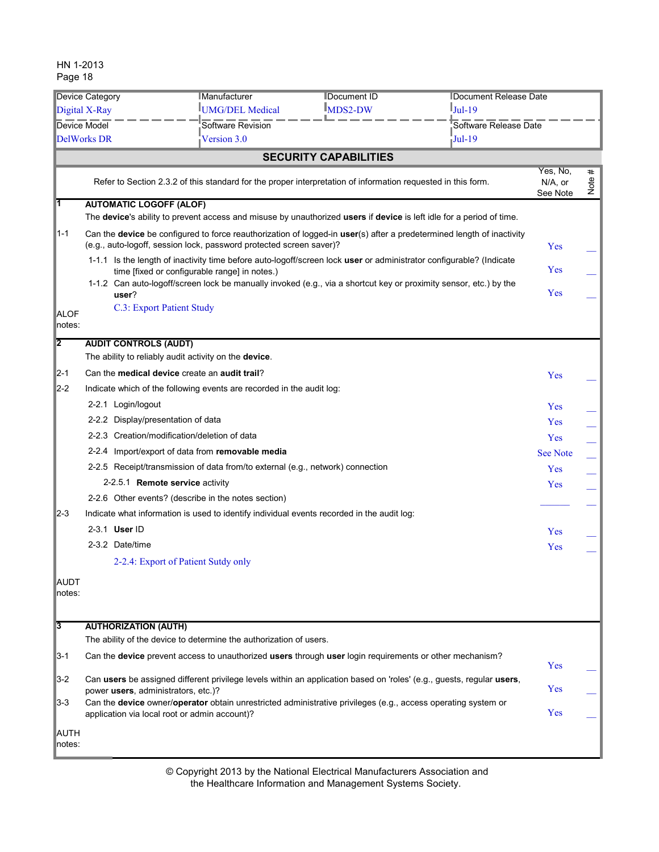| <b>Device Category</b> |                                                                                                                                                                       |                                                       | <b>Manufacturer</b>                                                            | Document ID                                                                                                  |                                                                                                                       | Document Release Date  |      |
|------------------------|-----------------------------------------------------------------------------------------------------------------------------------------------------------------------|-------------------------------------------------------|--------------------------------------------------------------------------------|--------------------------------------------------------------------------------------------------------------|-----------------------------------------------------------------------------------------------------------------------|------------------------|------|
| Digital X-Ray          |                                                                                                                                                                       |                                                       | UMG/DEL Medical                                                                | <b>IMDS2-DW</b>                                                                                              | $Jul-19$                                                                                                              |                        |      |
| Device Model           |                                                                                                                                                                       |                                                       | Software Revision                                                              |                                                                                                              | Software Release Date                                                                                                 |                        |      |
|                        | $Jul-19$<br><b>DelWorks DR</b><br>Version 3.0                                                                                                                         |                                                       |                                                                                |                                                                                                              |                                                                                                                       |                        |      |
|                        |                                                                                                                                                                       |                                                       |                                                                                | <b>SECURITY CAPABILITIES</b>                                                                                 |                                                                                                                       |                        |      |
|                        |                                                                                                                                                                       |                                                       |                                                                                | Refer to Section 2.3.2 of this standard for the proper interpretation of information requested in this form. |                                                                                                                       | Yes, No,<br>$N/A$ , or | #    |
|                        |                                                                                                                                                                       |                                                       |                                                                                |                                                                                                              |                                                                                                                       | See Note               | Note |
| T                      |                                                                                                                                                                       | <b>AUTOMATIC LOGOFF (ALOF)</b>                        |                                                                                |                                                                                                              | The device's ability to prevent access and misuse by unauthorized users if device is left idle for a period of time.  |                        |      |
| $1 - 1$                |                                                                                                                                                                       |                                                       | (e.g., auto-logoff, session lock, password protected screen saver)?            |                                                                                                              | Can the device be configured to force reauthorization of logged-in user(s) after a predetermined length of inactivity | Yes                    |      |
|                        |                                                                                                                                                                       |                                                       | time [fixed or configurable range] in notes.)                                  |                                                                                                              | 1-1.1 Is the length of inactivity time before auto-logoff/screen lock user or administrator configurable? (Indicate   | Yes                    |      |
|                        |                                                                                                                                                                       | user?                                                 |                                                                                |                                                                                                              | 1-1.2 Can auto-logoff/screen lock be manually invoked (e.g., via a shortcut key or proximity sensor, etc.) by the     | Yes                    |      |
| <b>ALOF</b><br>notes:  |                                                                                                                                                                       | C.3: Export Patient Study                             |                                                                                |                                                                                                              |                                                                                                                       |                        |      |
| $\overline{2}$         |                                                                                                                                                                       | <b>AUDIT CONTROLS (AUDT)</b>                          |                                                                                |                                                                                                              |                                                                                                                       |                        |      |
|                        |                                                                                                                                                                       | The ability to reliably audit activity on the device. |                                                                                |                                                                                                              |                                                                                                                       |                        |      |
| $\mathbb{Z}$ -1        |                                                                                                                                                                       | Can the medical device create an audit trail?         |                                                                                |                                                                                                              |                                                                                                                       | Yes                    |      |
| $\mathbb{Z}$ -2        |                                                                                                                                                                       |                                                       | Indicate which of the following events are recorded in the audit log:          |                                                                                                              |                                                                                                                       |                        |      |
|                        |                                                                                                                                                                       | 2-2.1 Login/logout                                    |                                                                                |                                                                                                              |                                                                                                                       | Yes                    |      |
|                        |                                                                                                                                                                       | 2-2.2 Display/presentation of data                    |                                                                                |                                                                                                              |                                                                                                                       | Yes                    |      |
|                        |                                                                                                                                                                       | 2-2.3 Creation/modification/deletion of data          |                                                                                |                                                                                                              |                                                                                                                       | Yes                    |      |
|                        |                                                                                                                                                                       |                                                       | 2-2.4 Import/export of data from removable media                               |                                                                                                              |                                                                                                                       | <b>See Note</b>        |      |
|                        |                                                                                                                                                                       |                                                       | 2-2.5 Receipt/transmission of data from/to external (e.g., network) connection |                                                                                                              |                                                                                                                       | Yes                    |      |
|                        |                                                                                                                                                                       | 2-2.5.1 <b>Remote service</b> activity                |                                                                                |                                                                                                              |                                                                                                                       | Yes                    |      |
|                        |                                                                                                                                                                       |                                                       | 2-2.6 Other events? (describe in the notes section)                            |                                                                                                              |                                                                                                                       |                        |      |
| $2 - 3$                |                                                                                                                                                                       |                                                       |                                                                                | Indicate what information is used to identify individual events recorded in the audit log:                   |                                                                                                                       |                        |      |
|                        |                                                                                                                                                                       | 2-3.1 User ID                                         |                                                                                |                                                                                                              |                                                                                                                       | Yes                    |      |
|                        |                                                                                                                                                                       | 2-3.2 Date/time                                       |                                                                                |                                                                                                              |                                                                                                                       | Yes                    |      |
|                        |                                                                                                                                                                       | 2-2.4: Export of Patient Sutdy only                   |                                                                                |                                                                                                              |                                                                                                                       |                        |      |
| <b>AUDT</b><br>notes:  |                                                                                                                                                                       |                                                       |                                                                                |                                                                                                              |                                                                                                                       |                        |      |
| $\overline{3}$         |                                                                                                                                                                       | <b>AUTHORIZATION (AUTH)</b>                           |                                                                                |                                                                                                              |                                                                                                                       |                        |      |
|                        |                                                                                                                                                                       |                                                       | The ability of the device to determine the authorization of users.             |                                                                                                              |                                                                                                                       |                        |      |
| $3 - 1$                |                                                                                                                                                                       |                                                       |                                                                                | Can the device prevent access to unauthorized users through user login requirements or other mechanism?      |                                                                                                                       | Yes                    |      |
| $\vert$ 3-2            | Can users be assigned different privilege levels within an application based on 'roles' (e.g., guests, regular users,<br>power users, administrators, etc.)?          |                                                       |                                                                                |                                                                                                              |                                                                                                                       | Yes                    |      |
| $3-3$                  | Can the <b>device</b> owner/operator obtain unrestricted administrative privileges (e.g., access operating system or<br>application via local root or admin account)? |                                                       |                                                                                |                                                                                                              |                                                                                                                       | Yes                    |      |
| <b>AUTH</b><br>notes:  |                                                                                                                                                                       |                                                       |                                                                                |                                                                                                              |                                                                                                                       |                        |      |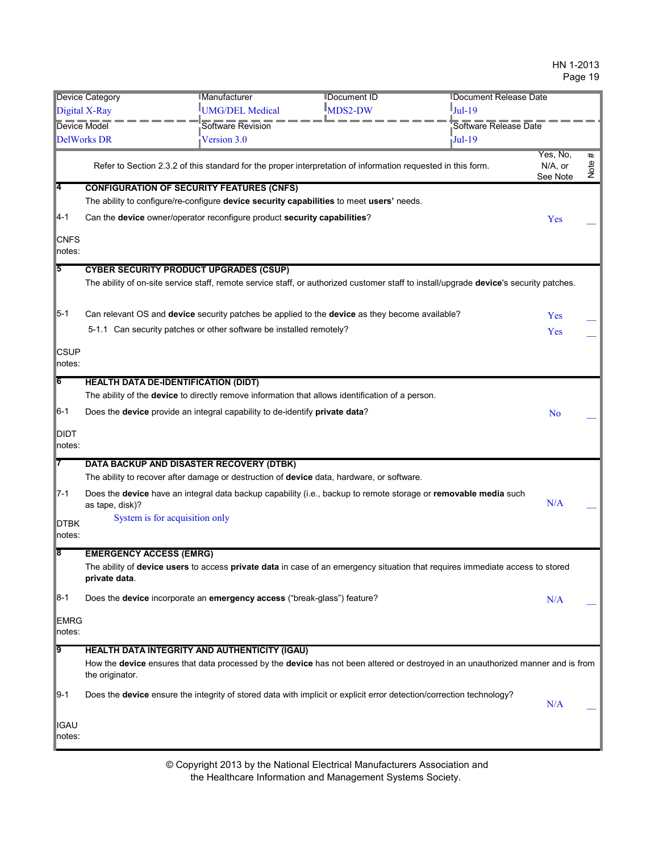|                       | <b>Device Category</b>                                                                                                                              | <b>IManufacturer</b>                                                                                                                        | <b>IDocument ID</b>           | Document Release Date |                     |      |
|-----------------------|-----------------------------------------------------------------------------------------------------------------------------------------------------|---------------------------------------------------------------------------------------------------------------------------------------------|-------------------------------|-----------------------|---------------------|------|
|                       | Digital X-Ray                                                                                                                                       | UMG/DEL Medical                                                                                                                             | $\mathbb{I}_{\text{MDS2-DW}}$ | $Jul-19$              |                     |      |
| <b>Device Model</b>   |                                                                                                                                                     | Software Revision                                                                                                                           |                               | Software Release Date |                     |      |
|                       | <b>DelWorks DR</b>                                                                                                                                  | Version 3.0                                                                                                                                 |                               | Jul-19                |                     |      |
|                       |                                                                                                                                                     |                                                                                                                                             |                               |                       | Yes, No,            | #    |
|                       |                                                                                                                                                     | Refer to Section 2.3.2 of this standard for the proper interpretation of information requested in this form.                                |                               |                       | N/A, or<br>See Note | Note |
| $\overline{4}$        |                                                                                                                                                     | <b>CONFIGURATION OF SECURITY FEATURES (CNFS)</b>                                                                                            |                               |                       |                     |      |
|                       |                                                                                                                                                     | The ability to configure/re-configure device security capabilities to meet users' needs.                                                    |                               |                       |                     |      |
| $4 - 1$               |                                                                                                                                                     | Can the device owner/operator reconfigure product security capabilities?                                                                    |                               |                       | Yes                 |      |
| <b>CNFS</b><br>notes: |                                                                                                                                                     |                                                                                                                                             |                               |                       |                     |      |
| 5                     |                                                                                                                                                     | <b>CYBER SECURITY PRODUCT UPGRADES (CSUP)</b>                                                                                               |                               |                       |                     |      |
|                       |                                                                                                                                                     | The ability of on-site service staff, remote service staff, or authorized customer staff to install/upgrade device's security patches.      |                               |                       |                     |      |
| $5-1$                 |                                                                                                                                                     | Can relevant OS and device security patches be applied to the device as they become available?                                              |                               |                       | Yes                 |      |
|                       |                                                                                                                                                     | 5-1.1 Can security patches or other software be installed remotely?                                                                         |                               |                       | Yes                 |      |
| <b>CSUP</b><br>notes: |                                                                                                                                                     |                                                                                                                                             |                               |                       |                     |      |
| $\overline{6}$        |                                                                                                                                                     | <b>HEALTH DATA DE-IDENTIFICATION (DIDT)</b>                                                                                                 |                               |                       |                     |      |
|                       |                                                                                                                                                     | The ability of the device to directly remove information that allows identification of a person.                                            |                               |                       |                     |      |
| $6-1$                 |                                                                                                                                                     | Does the device provide an integral capability to de-identify private data?                                                                 |                               |                       | No                  |      |
| <b>DIDT</b><br>notes: |                                                                                                                                                     |                                                                                                                                             |                               |                       |                     |      |
| 17                    |                                                                                                                                                     | <b>DATA BACKUP AND DISASTER RECOVERY (DTBK)</b>                                                                                             |                               |                       |                     |      |
|                       |                                                                                                                                                     | The ability to recover after damage or destruction of device data, hardware, or software.                                                   |                               |                       |                     |      |
| $T - 1$               | as tape, disk)?                                                                                                                                     | Does the device have an integral data backup capability (i.e., backup to remote storage or removable media such                             |                               |                       | N/A                 |      |
| <b>DTBK</b>           |                                                                                                                                                     | System is for acquisition only                                                                                                              |                               |                       |                     |      |
| notes:                |                                                                                                                                                     |                                                                                                                                             |                               |                       |                     |      |
| 18                    | <b>EMERGENCY ACCESS (EMRG)</b>                                                                                                                      |                                                                                                                                             |                               |                       |                     |      |
|                       | private data.                                                                                                                                       | The ability of <b>device users</b> to access <b>private data</b> in case of an emergency situation that requires immediate access to stored |                               |                       |                     |      |
| $8-1$                 |                                                                                                                                                     | Does the device incorporate an emergency access ("break-glass") feature?                                                                    |                               |                       | N/A                 |      |
| EMRG<br>notes:        |                                                                                                                                                     |                                                                                                                                             |                               |                       |                     |      |
| 19                    |                                                                                                                                                     | <b>HEALTH DATA INTEGRITY AND AUTHENTICITY (IGAU)</b>                                                                                        |                               |                       |                     |      |
|                       | How the device ensures that data processed by the device has not been altered or destroyed in an unauthorized manner and is from<br>the originator. |                                                                                                                                             |                               |                       |                     |      |
| $9-1$                 |                                                                                                                                                     | Does the device ensure the integrity of stored data with implicit or explicit error detection/correction technology?                        |                               |                       | N/A                 |      |
| <b>IGAU</b><br>notes: |                                                                                                                                                     |                                                                                                                                             |                               |                       |                     |      |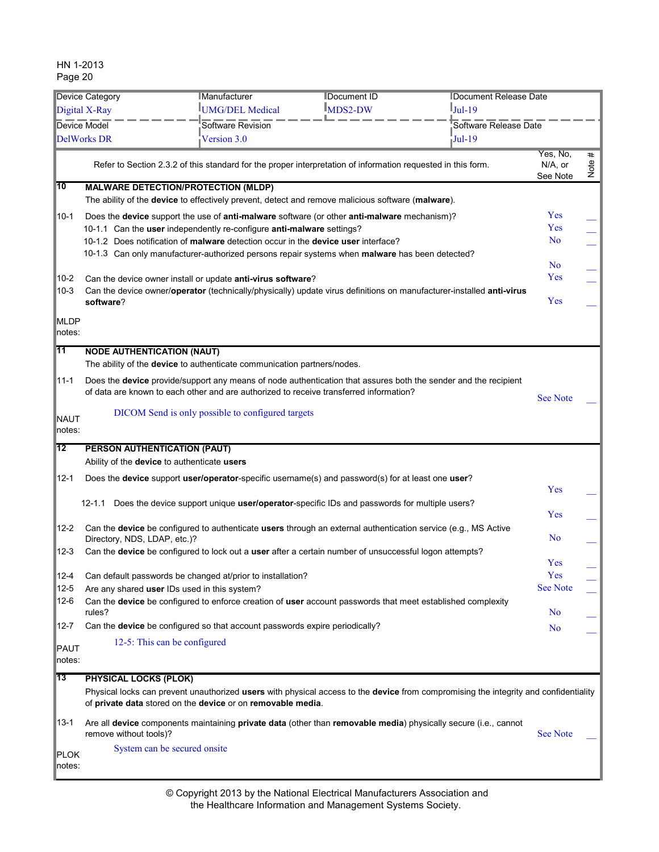|                    | <b>Device Category</b>            | <b>IManufacturer</b>                                                                                                                                                                                      | <b>IDocument ID</b> | <b>IDocument Release Date</b> |                                 |                      |
|--------------------|-----------------------------------|-----------------------------------------------------------------------------------------------------------------------------------------------------------------------------------------------------------|---------------------|-------------------------------|---------------------------------|----------------------|
|                    | Digital X-Ray                     | UMG/DEL Medical                                                                                                                                                                                           | <b>IMDS2-DW</b>     | $Jul-19$                      |                                 |                      |
|                    | <b>Device Model</b>               | Software Revision                                                                                                                                                                                         |                     | Software Release Date         |                                 |                      |
|                    | DelWorks DR                       | Version 3.0                                                                                                                                                                                               |                     | $Jul-19$                      |                                 |                      |
|                    |                                   | Refer to Section 2.3.2 of this standard for the proper interpretation of information requested in this form.                                                                                              |                     |                               | Yes, No,<br>N/A, or<br>See Note | $\pmb{\ast}$<br>Note |
| 10                 |                                   | <b>MALWARE DETECTION/PROTECTION (MLDP)</b>                                                                                                                                                                |                     |                               |                                 |                      |
|                    |                                   | The ability of the device to effectively prevent, detect and remove malicious software (malware).                                                                                                         |                     |                               |                                 |                      |
| $10-1$             |                                   | Does the device support the use of anti-malware software (or other anti-malware mechanism)?                                                                                                               |                     |                               | Yes                             |                      |
|                    |                                   | 10-1.1 Can the user independently re-configure anti-malware settings?                                                                                                                                     |                     |                               | Yes                             |                      |
|                    |                                   | 10-1.2 Does notification of malware detection occur in the device user interface?                                                                                                                         |                     |                               | N <sub>o</sub>                  |                      |
|                    |                                   | 10-1.3 Can only manufacturer-authorized persons repair systems when malware has been detected?                                                                                                            |                     |                               |                                 |                      |
|                    |                                   |                                                                                                                                                                                                           |                     |                               | <b>No</b><br>Yes                |                      |
| 10-2               |                                   | Can the device owner install or update anti-virus software?                                                                                                                                               |                     |                               |                                 |                      |
| $10 - 3$           | software?                         | Can the device owner/operator (technically/physically) update virus definitions on manufacturer-installed anti-virus                                                                                      |                     |                               | Yes                             |                      |
|                    |                                   |                                                                                                                                                                                                           |                     |                               |                                 |                      |
| <b>MLDP</b>        |                                   |                                                                                                                                                                                                           |                     |                               |                                 |                      |
| notes:             |                                   |                                                                                                                                                                                                           |                     |                               |                                 |                      |
| l11                | <b>NODE AUTHENTICATION (NAUT)</b> |                                                                                                                                                                                                           |                     |                               |                                 |                      |
|                    |                                   | The ability of the <b>device</b> to authenticate communication partners/nodes.                                                                                                                            |                     |                               |                                 |                      |
| 11-1               |                                   | Does the device provide/support any means of node authentication that assures both the sender and the recipient<br>of data are known to each other and are authorized to receive transferred information? |                     |                               | <b>See Note</b>                 |                      |
|                    |                                   |                                                                                                                                                                                                           |                     |                               |                                 |                      |
| <b>NAUT</b>        |                                   | DICOM Send is only possible to configured targets                                                                                                                                                         |                     |                               |                                 |                      |
| notes:             |                                   |                                                                                                                                                                                                           |                     |                               |                                 |                      |
| 12                 | PERSON AUTHENTICATION (PAUT)      |                                                                                                                                                                                                           |                     |                               |                                 |                      |
|                    |                                   | Ability of the device to authenticate users                                                                                                                                                               |                     |                               |                                 |                      |
| $12 - 1$           |                                   | Does the device support user/operator-specific username(s) and password(s) for at least one user?                                                                                                         |                     |                               | Yes                             |                      |
|                    | 12-1.1                            | Does the device support unique user/operator-specific IDs and passwords for multiple users?                                                                                                               |                     |                               | Yes                             |                      |
| $12 - 2$           |                                   | Can the device be configured to authenticate users through an external authentication service (e.g., MS Active                                                                                            |                     |                               |                                 |                      |
|                    | Directory, NDS, LDAP, etc.)?      |                                                                                                                                                                                                           |                     |                               | N <sub>o</sub>                  |                      |
| $12 - 3$           |                                   | Can the device be configured to lock out a user after a certain number of unsuccessful logon attempts?                                                                                                    |                     |                               |                                 |                      |
|                    |                                   |                                                                                                                                                                                                           |                     |                               | Yes                             |                      |
| 12-4               |                                   | Can default passwords be changed at/prior to installation?                                                                                                                                                |                     |                               | Yes<br><b>See Note</b>          |                      |
| $12 - 5$<br>$12-6$ |                                   | Are any shared user IDs used in this system?                                                                                                                                                              |                     |                               |                                 |                      |
|                    | rules?                            | Can the device be configured to enforce creation of user account passwords that meet established complexity                                                                                               |                     |                               | N <sub>o</sub>                  |                      |
| 12-7               |                                   | Can the device be configured so that account passwords expire periodically?                                                                                                                               |                     |                               | N <sub>o</sub>                  |                      |
|                    |                                   |                                                                                                                                                                                                           |                     |                               |                                 |                      |
| PAUT               |                                   | 12-5: This can be configured                                                                                                                                                                              |                     |                               |                                 |                      |
| notes:             |                                   |                                                                                                                                                                                                           |                     |                               |                                 |                      |
| 13                 | <b>PHYSICAL LOCKS (PLOK)</b>      |                                                                                                                                                                                                           |                     |                               |                                 |                      |
|                    |                                   | Physical locks can prevent unauthorized users with physical access to the device from compromising the integrity and confidentiality<br>of private data stored on the device or on removable media.       |                     |                               |                                 |                      |
| 13-1               | remove without tools)?            | Are all device components maintaining private data (other than removable media) physically secure (i.e., cannot                                                                                           |                     |                               | <b>See Note</b>                 |                      |
|                    |                                   | System can be secured onsite                                                                                                                                                                              |                     |                               |                                 |                      |
| PLOK<br>∣notes:    |                                   |                                                                                                                                                                                                           |                     |                               |                                 |                      |
|                    |                                   |                                                                                                                                                                                                           |                     |                               |                                 |                      |

the Healthcare Information and Management Systems Society. © Copyright 2013 by the National Electrical Manufacturers Association and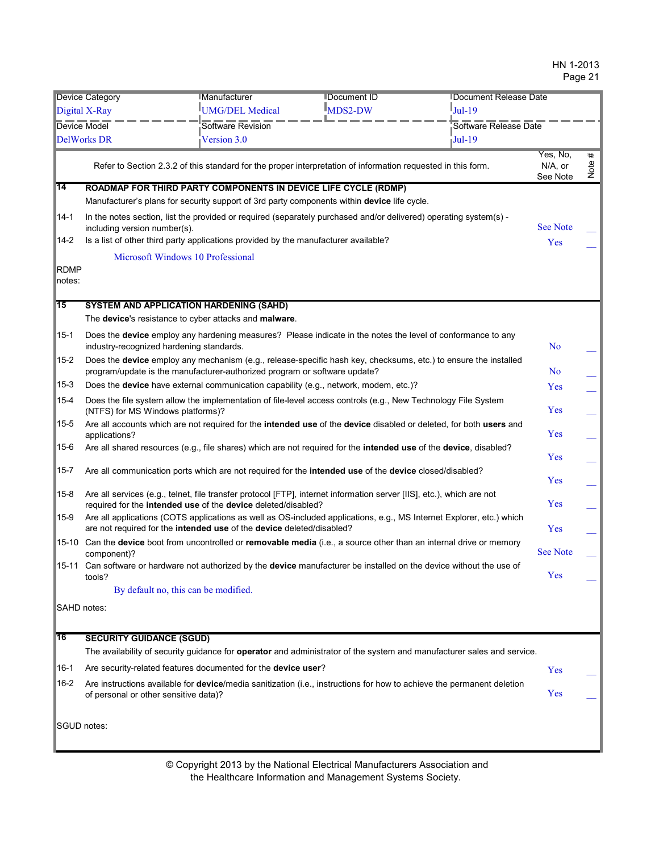| <b>Device Category</b> |                                                                                                                                                                                        | Manufacturer<br><b>IDocument ID</b><br><b>IDocument Release Date</b> |                                                                                                                   |                                                                                                                        |                                    |           |
|------------------------|----------------------------------------------------------------------------------------------------------------------------------------------------------------------------------------|----------------------------------------------------------------------|-------------------------------------------------------------------------------------------------------------------|------------------------------------------------------------------------------------------------------------------------|------------------------------------|-----------|
| Digital X-Ray          |                                                                                                                                                                                        | UMG/DEL Medical                                                      | $MDS2-DW$                                                                                                         | $I_{\text{Jul-19}}$                                                                                                    |                                    |           |
| Device Model           |                                                                                                                                                                                        | Software Revision                                                    |                                                                                                                   | Software Release Date                                                                                                  |                                    |           |
|                        | <b>DelWorks DR</b>                                                                                                                                                                     | Version 3.0                                                          |                                                                                                                   | $\overline{\mathsf{J}}$ Jul-19                                                                                         |                                    |           |
|                        |                                                                                                                                                                                        |                                                                      | Refer to Section 2.3.2 of this standard for the proper interpretation of information requested in this form.      |                                                                                                                        | Yes, No,<br>$N/A$ , or<br>See Note | #<br>Note |
| $\overline{14}$        | ROADMAP FOR THIRD PARTY COMPONENTS IN DEVICE LIFE CYCLE (RDMP)                                                                                                                         |                                                                      |                                                                                                                   |                                                                                                                        |                                    |           |
|                        |                                                                                                                                                                                        |                                                                      | Manufacturer's plans for security support of 3rd party components within device life cycle.                       |                                                                                                                        |                                    |           |
| $14-1$                 | including version number(s).                                                                                                                                                           |                                                                      | In the notes section, list the provided or required (separately purchased and/or delivered) operating system(s) - |                                                                                                                        | <b>See Note</b>                    |           |
| $14-2$                 | Is a list of other third party applications provided by the manufacturer available?                                                                                                    |                                                                      |                                                                                                                   |                                                                                                                        | Yes                                |           |
|                        | Microsoft Windows 10 Professional                                                                                                                                                      |                                                                      |                                                                                                                   |                                                                                                                        |                                    |           |
| <b>RDMP</b>            |                                                                                                                                                                                        |                                                                      |                                                                                                                   |                                                                                                                        |                                    |           |
| notes:                 |                                                                                                                                                                                        |                                                                      |                                                                                                                   |                                                                                                                        |                                    |           |
| $\overline{15}$        | <b>SYSTEM AND APPLICATION HARDENING (SAHD)</b>                                                                                                                                         |                                                                      |                                                                                                                   |                                                                                                                        |                                    |           |
|                        | The device's resistance to cyber attacks and malware.                                                                                                                                  |                                                                      |                                                                                                                   |                                                                                                                        |                                    |           |
| $15-1$                 | Does the device employ any hardening measures? Please indicate in the notes the level of conformance to any<br>industry-recognized hardening standards.                                |                                                                      |                                                                                                                   |                                                                                                                        | N <sub>o</sub>                     |           |
| $15 - 2$               | program/update is the manufacturer-authorized program or software update?                                                                                                              |                                                                      | Does the device employ any mechanism (e.g., release-specific hash key, checksums, etc.) to ensure the installed   |                                                                                                                        | N <sub>0</sub>                     |           |
| $ 15-3 $               |                                                                                                                                                                                        |                                                                      | Does the device have external communication capability (e.g., network, modem, etc.)?                              |                                                                                                                        | Yes                                |           |
| $15 - 4$               | (NTFS) for MS Windows platforms)?                                                                                                                                                      |                                                                      | Does the file system allow the implementation of file-level access controls (e.g., New Technology File System     |                                                                                                                        | Yes                                |           |
| $15 - 5$               | applications?                                                                                                                                                                          |                                                                      |                                                                                                                   | Are all accounts which are not required for the intended use of the device disabled or deleted, for both users and     | Yes                                |           |
| $15-6$                 | Are all shared resources (e.g., file shares) which are not required for the intended use of the device, disabled?                                                                      |                                                                      |                                                                                                                   |                                                                                                                        | Yes                                |           |
| $15 - 7$               | Are all communication ports which are not required for the intended use of the device closed/disabled?                                                                                 |                                                                      |                                                                                                                   |                                                                                                                        | Yes                                |           |
| $15-8$                 | Are all services (e.g., telnet, file transfer protocol [FTP], internet information server [IIS], etc.), which are not<br>required for the intended use of the device deleted/disabled? |                                                                      |                                                                                                                   |                                                                                                                        | Yes                                |           |
| $15-9$                 | are not required for the intended use of the device deleted/disabled?                                                                                                                  |                                                                      |                                                                                                                   | Are all applications (COTS applications as well as OS-included applications, e.g., MS Internet Explorer, etc.) which   | Yes                                |           |
| ∥15-10                 | Can the device boot from uncontrolled or removable media (i.e., a source other than an internal drive or memory<br>component)?                                                         |                                                                      |                                                                                                                   |                                                                                                                        | <b>See Note</b>                    |           |
|                        | 15-11 Can software or hardware not authorized by the device manufacturer be installed on the device without the use of<br>tools?                                                       |                                                                      |                                                                                                                   |                                                                                                                        | Yes                                |           |
|                        | By default no, this can be modified.                                                                                                                                                   |                                                                      |                                                                                                                   |                                                                                                                        |                                    |           |
| SAHD notes:            |                                                                                                                                                                                        |                                                                      |                                                                                                                   |                                                                                                                        |                                    |           |
| <b>16</b>              | <b>SECURITY GUIDANCE (SGUD)</b>                                                                                                                                                        |                                                                      |                                                                                                                   |                                                                                                                        |                                    |           |
|                        |                                                                                                                                                                                        |                                                                      |                                                                                                                   | The availability of security guidance for operator and administrator of the system and manufacturer sales and service. |                                    |           |
| ∥16-1                  | Are security-related features documented for the device user?                                                                                                                          |                                                                      |                                                                                                                   | Yes                                                                                                                    |                                    |           |
| $ 16-2 $               | of personal or other sensitive data)?                                                                                                                                                  |                                                                      |                                                                                                                   | Are instructions available for device/media sanitization (i.e., instructions for how to achieve the permanent deletion | Yes                                |           |
| SGUD notes:            |                                                                                                                                                                                        |                                                                      |                                                                                                                   |                                                                                                                        |                                    |           |
|                        |                                                                                                                                                                                        |                                                                      |                                                                                                                   |                                                                                                                        |                                    |           |